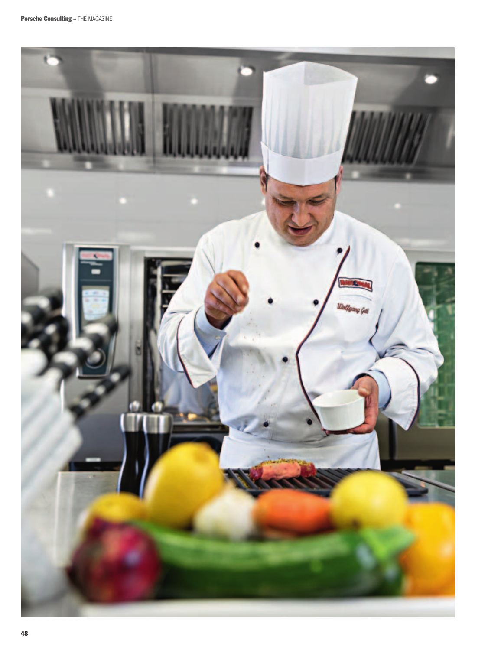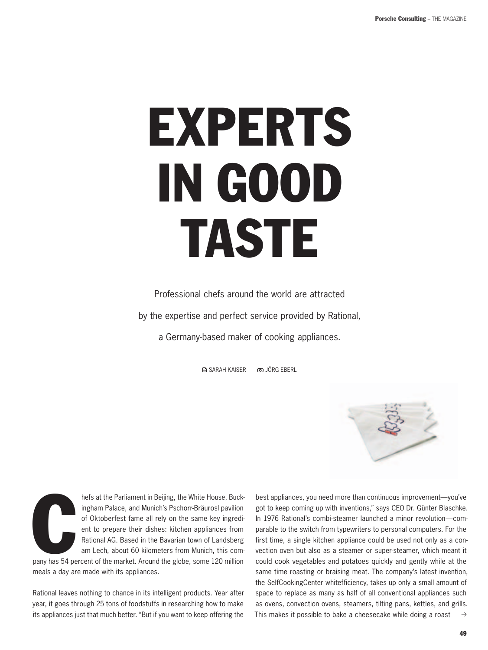# **EXPERTS** in Good TASTE

Professional chefs around the world are attracted

by the expertise and perfect service provided by Rational,

a Germany-based maker of cooking appliances.

Sarah Kaiser Jörg Eberl



pany has 54 pe hefs at the Parliament in Beijing, the White House, Buckingham Palace, and Munich's Pschorr-Bräurosl pavilion of Oktoberfest fame all rely on the same key ingredient to prepare their dishes: kitchen appliances from Rational AG. Based in the Bavarian town of Landsberg am Lech, about 60 kilometers from Munich, this com-

pany has 54 percent of the market. Around the globe, some 120 million meals a day are made with its appliances.

Rational leaves nothing to chance in its intelligent products. Year after year, it goes through 25 tons of foodstuffs in researching how to make its appliances just that much better. "But if you want to keep offering the

best appliances, you need more than continuous improvement—you've got to keep coming up with inventions," says CEO Dr. Günter Blaschke. In 1976 Rational's combi-steamer launched a minor revolution—comparable to the switch from typewriters to personal computers. For the first time, a single kitchen appliance could be used not only as a convection oven but also as a steamer or super-steamer, which meant it could cook vegetables and potatoes quickly and gently while at the same time roasting or braising meat. The company's latest invention, the SelfCookingCenter whitefficiency, takes up only a small amount of space to replace as many as half of all conventional appliances such as ovens, convection ovens, steamers, tilting pans, kettles, and grills. This makes it possible to bake a cheesecake while doing a roast  $\rightarrow$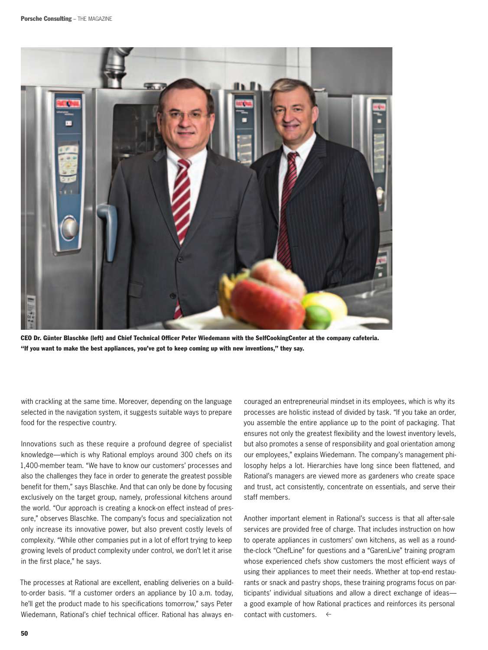

CEO Dr. Günter Blaschke (left) and Chief Technical Officer Peter Wiedemann with the SelfCookingCenter at the company cafeteria. "If you want to make the best appliances, you've got to keep coming up with new inventions," they say.

with crackling at the same time. Moreover, depending on the language selected in the navigation system, it suggests suitable ways to prepare food for the respective country.

Innovations such as these require a profound degree of specialist knowledge—which is why Rational employs around 300 chefs on its 1,400-member team. "We have to know our customers' processes and also the challenges they face in order to generate the greatest possible benefit for them," says Blaschke. And that can only be done by focusing exclusively on the target group, namely, professional kitchens around the world. "Our approach is creating a knock-on effect instead of pressure," observes Blaschke. The company's focus and specialization not only increase its innovative power, but also prevent costly levels of complexity. "While other companies put in a lot of effort trying to keep growing levels of product complexity under control, we don't let it arise in the first place," he says.

The processes at Rational are excellent, enabling deliveries on a buildto-order basis. "If a customer orders an appliance by 10 a.m. today, he'll get the product made to his specifications tomorrow," says Peter Wiedemann, Rational's chief technical officer. Rational has always en-

couraged an entrepreneurial mindset in its employees, which is why its processes are holistic instead of divided by task. "If you take an order, you assemble the entire appliance up to the point of packaging. That ensures not only the greatest flexibility and the lowest inventory levels, but also promotes a sense of responsibility and goal orientation among our employees," explains Wiedemann. The company's management philosophy helps a lot. Hierarchies have long since been flattened, and Rational's managers are viewed more as gardeners who create space and trust, act consistently, concentrate on essentials, and serve their staff members.

Another important element in Rational's success is that all after-sale services are provided free of charge. That includes instruction on how to operate appliances in customers' own kitchens, as well as a roundthe-clock "ChefLine" for questions and a "GarenLive" training program whose experienced chefs show customers the most efficient ways of using their appliances to meet their needs. Whether at top-end restaurants or snack and pastry shops, these training programs focus on participants' individual situations and allow a direct exchange of ideas a good example of how Rational practices and reinforces its personal contact with customers.  $\leftarrow$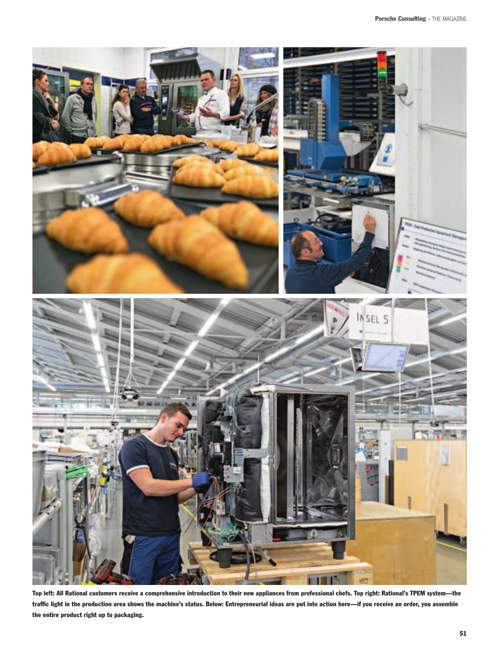

Top left: All Rational customers receive a comprehensive introduction to their new appliances from professional chefs. Top right: Rational's TPEM system—the traffic light in the production area shows the machine's status. Below: Entrepreneurial ideas are put into action here—if you receive an order, you assemble the entire product right up to packaging.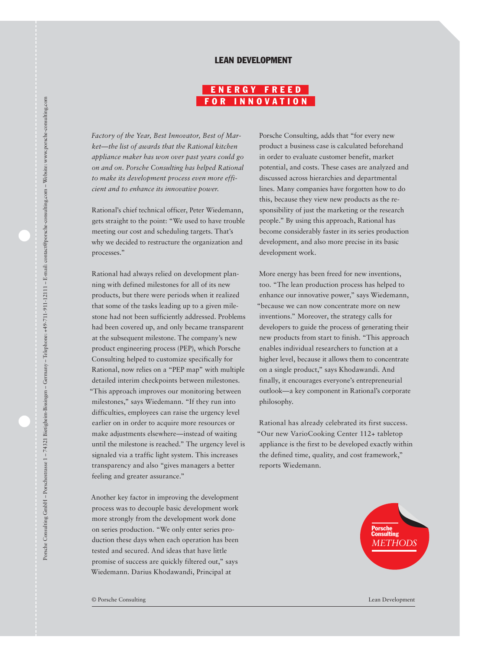### Lean Development

# En e r g y Fr ee d FOR INNOVATION

*Factory of the Year, Best Innovator, Best of Market—the list of awards that the Rational kitchen appliance maker has won over past years could go on and on. Porsche Consulting has helped Rational to make its development process even more efficient and to enhance its innovative power.* 

Rational's chief technical officer, Peter Wiedemann, gets straight to the point: "We used to have trouble meeting our cost and scheduling targets. That's why we decided to restructure the organization and processes."

Rational had always relied on development planning with defined milestones for all of its new products, but there were periods when it realized that some of the tasks leading up to a given milestone had not been sufficiently addressed. Problems had been covered up, and only became transparent at the subsequent milestone. The company's new product engineering process (PEP), which Porsche Consulting helped to customize specifically for Rational, now relies on a "PEP map" with multiple detailed interim checkpoints between milestones. "This approach improves our monitoring between milestones," says Wiedemann. "If they run into difficulties, employees can raise the urgency level earlier on in order to acquire more resources or make adjustments elsewhere—instead of waiting until the milestone is reached." The urgency level is signaled via a traffic light system. This increases transparency and also "gives managers a better feeling and greater assurance."

Another key factor in improving the development process was to decouple basic development work more strongly from the development work done on series production. "We only enter series production these days when each operation has been tested and secured. And ideas that have little promise of success are quickly filtered out," says Wiedemann. Darius Khodawandi, Principal at

Porsche Consulting, adds that "for every new product a business case is calculated beforehand in order to evaluate customer benefit, market potential, and costs. These cases are analyzed and discussed across hierarchies and departmental lines. Many companies have forgotten how to do this, because they view new products as the responsibility of just the marketing or the research people." By using this approach, Rational has become considerably faster in its series production development, and also more precise in its basic development work.

More energy has been freed for new inventions, too. "The lean production process has helped to enhance our innovative power," says Wiedemann, "because we can now concentrate more on new inventions." Moreover, the strategy calls for developers to guide the process of generating their new products from start to finish. "This approach enables individual researchers to function at a higher level, because it allows them to concentrate on a single product," says Khodawandi. And finally, it encourages everyone's entrepreneurial outlook—a key component in Rational's corporate philosophy.

Rational has already celebrated its first success. "Our new VarioCooking Center 112+ tabletop appliance is the first to be developed exactly within the defined time, quality, and cost framework," reports Wiedemann.